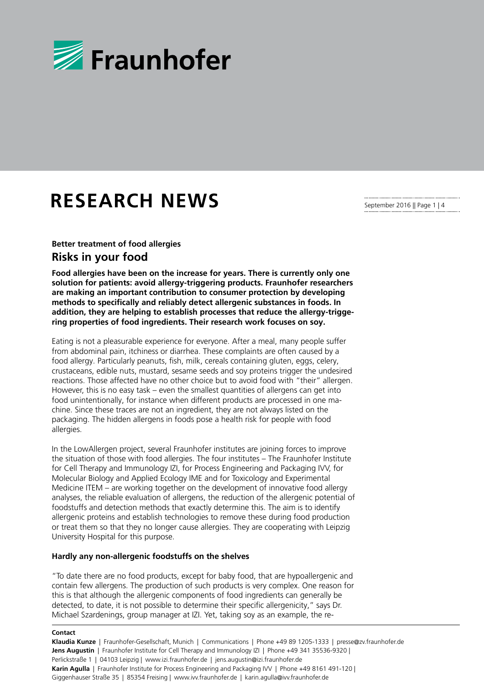

# **RESEARCH NEWS**

September 2016 || Page 1 | 4

## **Better treatment of food allergies Risks in your food**

**Food allergies have been on the increase for years. There is currently only one solution for patients: avoid allergy-triggering products. Fraunhofer researchers are making an important contribution to consumer protection by developing methods to specifically and reliably detect allergenic substances in foods. In addition, they are helping to establish processes that reduce the allergy-triggering properties of food ingredients. Their research work focuses on soy.** 

Eating is not a pleasurable experience for everyone. After a meal, many people suffer from abdominal pain, itchiness or diarrhea. These complaints are often caused by a food allergy. Particularly peanuts, fish, milk, cereals containing gluten, eggs, celery, crustaceans, edible nuts, mustard, sesame seeds and soy proteins trigger the undesired reactions. Those affected have no other choice but to avoid food with "their" allergen. However, this is no easy task – even the smallest quantities of allergens can get into food unintentionally, for instance when different products are processed in one machine. Since these traces are not an ingredient, they are not always listed on the packaging. The hidden allergens in foods pose a health risk for people with food allergies.

In the LowAllergen project, several Fraunhofer institutes are joining forces to improve the situation of those with food allergies. The four institutes – The Fraunhofer Institute for Cell Therapy and Immunology IZI, for Process Engineering and Packaging IVV, for Molecular Biology and Applied Ecology IME and for Toxicology and Experimental Medicine ITEM – are working together on the development of innovative food allergy analyses, the reliable evaluation of allergens, the reduction of the allergenic potential of foodstuffs and detection methods that exactly determine this. The aim is to identify allergenic proteins and establish technologies to remove these during food production or treat them so that they no longer cause allergies. They are cooperating with Leipzig University Hospital for this purpose.

### **Hardly any non-allergenic foodstuffs on the shelves**

"To date there are no food products, except for baby food, that are hypoallergenic and contain few allergens. The production of such products is very complex. One reason for this is that although the allergenic components of food ingredients can generally be detected, to date, it is not possible to determine their specific allergenicity," says Dr. Michael Szardenings, group manager at IZI. Yet, taking soy as an example, the re-

#### **Contact**

**Klaudia Kunze** | Fraunhofer-Gesellschaft, Munich | Communications | Phone +49 89 1205-1333 | presse@zv.fraunhofer.de **Jens Augustin** | Fraunhofer Institute for Cell Therapy and Immunology IZI | Phone +49 341 35536-9320 | Perlickstraße 1 | 04103 Leipzig | www.izi.fraunhofer.de | jens.augustin@izi.fraunhofer.de **Karin Agulla** | Fraunhofer Institute for Process Engineering and Packaging IVV | Phone +49 8161 491-120 | Giggenhauser Straße 35 | 85354 Freising | www.ivv.fraunhofer.de | karin.agulla@ivv.fraunhofer.de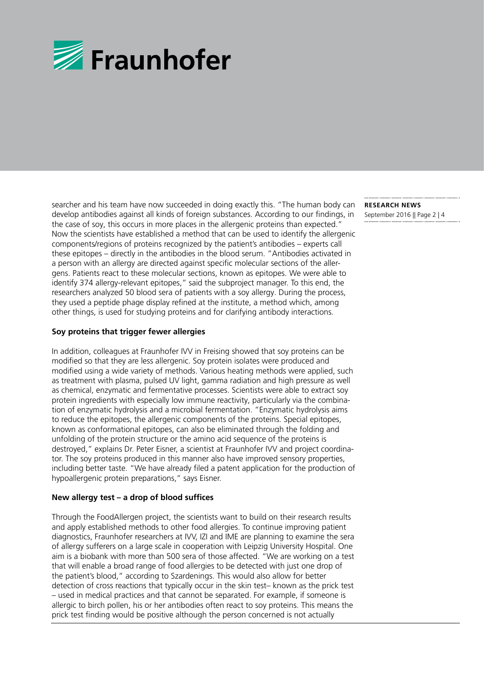

searcher and his team have now succeeded in doing exactly this. "The human body can develop antibodies against all kinds of foreign substances. According to our findings, in the case of soy, this occurs in more places in the allergenic proteins than expected." Now the scientists have established a method that can be used to identify the allergenic components/regions of proteins recognized by the patient's antibodies – experts call these epitopes – directly in the antibodies in the blood serum. "Antibodies activated in a person with an allergy are directed against specific molecular sections of the allergens. Patients react to these molecular sections, known as epitopes. We were able to identify 374 allergy-relevant epitopes," said the subproject manager. To this end, the researchers analyzed 50 blood sera of patients with a soy allergy. During the process, they used a peptide phage display refined at the institute, a method which, among other things, is used for studying proteins and for clarifying antibody interactions.

#### **Soy proteins that trigger fewer allergies**

In addition, colleagues at Fraunhofer IVV in Freising showed that soy proteins can be modified so that they are less allergenic. Soy protein isolates were produced and modified using a wide variety of methods. Various heating methods were applied, such as treatment with plasma, pulsed UV light, gamma radiation and high pressure as well as chemical, enzymatic and fermentative processes. Scientists were able to extract soy protein ingredients with especially low immune reactivity, particularly via the combination of enzymatic hydrolysis and a microbial fermentation. "Enzymatic hydrolysis aims to reduce the epitopes, the allergenic components of the proteins. Special epitopes, known as conformational epitopes, can also be eliminated through the folding and unfolding of the protein structure or the amino acid sequence of the proteins is destroyed," explains Dr. Peter Eisner, a scientist at Fraunhofer IVV and project coordinator. The soy proteins produced in this manner also have improved sensory properties, including better taste. "We have already filed a patent application for the production of hypoallergenic protein preparations," says Eisner.

#### **New allergy test – a drop of blood suffices**

Through the FoodAllergen project, the scientists want to build on their research results and apply established methods to other food allergies. To continue improving patient diagnostics, Fraunhofer researchers at IVV, IZI and IME are planning to examine the sera of allergy sufferers on a large scale in cooperation with Leipzig University Hospital. One aim is a biobank with more than 500 sera of those affected. "We are working on a test that will enable a broad range of food allergies to be detected with just one drop of the patient's blood," according to Szardenings. This would also allow for better detection of cross reactions that typically occur in the skin test– known as the prick test – used in medical practices and that cannot be separated. For example, if someone is allergic to birch pollen, his or her antibodies often react to soy proteins. This means the prick test finding would be positive although the person concerned is not actually

#### **RESEARCH NEWS**

September 2016 || Page 2 | 4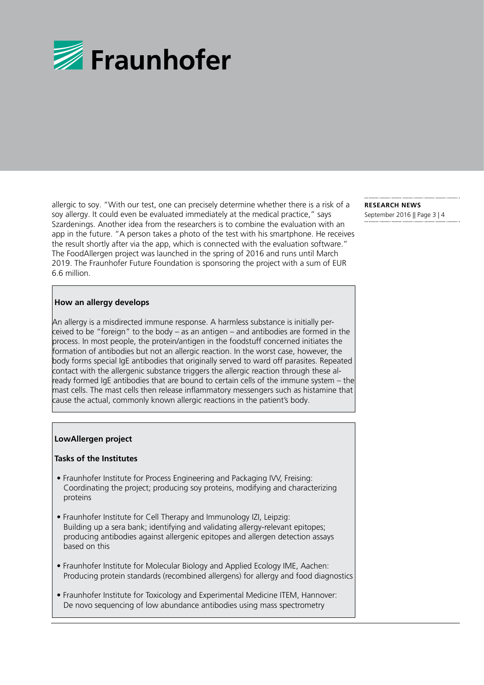

allergic to soy. "With our test, one can precisely determine whether there is a risk of a soy allergy. It could even be evaluated immediately at the medical practice," says Szardenings. Another idea from the researchers is to combine the evaluation with an app in the future. "A person takes a photo of the test with his smartphone. He receives the result shortly after via the app, which is connected with the evaluation software." The FoodAllergen project was launched in the spring of 2016 and runs until March 2019. The Fraunhofer Future Foundation is sponsoring the project with a sum of EUR 6.6 million.

#### **How an allergy develops**

An allergy is a misdirected immune response. A harmless substance is initially perceived to be "foreign" to the body – as an antigen – and antibodies are formed in the process. In most people, the protein/antigen in the foodstuff concerned initiates the formation of antibodies but not an allergic reaction. In the worst case, however, the body forms special IgE antibodies that originally served to ward off parasites. Repeated contact with the allergenic substance triggers the allergic reaction through these already formed IgE antibodies that are bound to certain cells of the immune system – the mast cells. The mast cells then release inflammatory messengers such as histamine that cause the actual, commonly known allergic reactions in the patient's body.

#### **LowAllergen project**

#### **Tasks of the Institutes**

- Fraunhofer Institute for Process Engineering and Packaging IVV, Freising: Coordinating the project; producing soy proteins, modifying and characterizing proteins
- Fraunhofer Institute for Cell Therapy and Immunology IZI, Leipzig: Building up a sera bank; identifying and validating allergy-relevant epitopes; producing antibodies against allergenic epitopes and allergen detection assays based on this
- Fraunhofer Institute for Molecular Biology and Applied Ecology IME, Aachen: Producing protein standards (recombined allergens) for allergy and food diagnostics
- Fraunhofer Institute for Toxicology and Experimental Medicine ITEM, Hannover: De novo sequencing of low abundance antibodies using mass spectrometry

## **RESEARCH NEWS**

September 2016 || Page 3 | 4